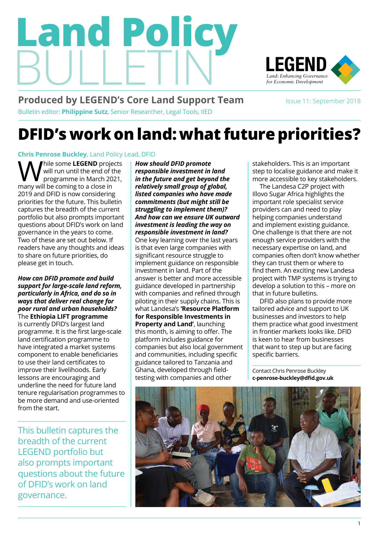# Bulletin **Land Policy**



## LEGEND *Land: Enhancing Governance for Economic Development* **DFID's work on land: what future priorities?**

#### **[Chris Penrose Buckley](https://cadasta.org/board-of-directors/chris-penrose-buckley/)**, Land Policy Lead, DFID

While some **[LEGEND](https://landportal.org/partners/legend/outputs)** projects<br>will run until the end of the<br>programme in March 2021, will run until the end of the programme in March 2021, many will be coming to a close in 2019 and DFID is now considering priorities for the future. This bulletin captures the breadth of the current portfolio but also prompts important questions about DFID's work on land governance in the years to come. Two of these are set out below. If readers have any thoughts and ideas to share on future priorities, do please get in touch.

*How can DFID promote and build support for large-scale land reform, particularly in Africa, and do so in ways that deliver real change for poor rural and urban households?* The **[Ethiopia LIFT programme](#page-1-0)** is currently DFID's largest land programme. It is the first large-scale land certification programme to have integrated a market systems component to enable beneficiaries to use their land certificates to improve their livelihoods. Early lessons are encouraging and underline the need for future land tenure regularisation programmes to be more demand and use-oriented from the start.

This bulletin captures the breadth of the current LEGEND portfolio but also prompts important questions about the future of DFID's work on land governance.

*How should DFID promote responsible investment in land in the future and get beyond the relatively small group of global, listed companies who have made commitments (but might still be struggling to implement them)? And how can we ensure UK outward investment is leading the way on responsible investment in land?* One key learning over the last years

is that even large companies with significant resource struggle to implement guidance on responsible investment in land. Part of the answer is better and more accessible guidance developed in partnership with companies and refined through piloting in their supply chains. This is what Landesa's **['Resource Platform](#page-3-0)  [for Responsible Investments in](#page-3-0)  [Property and Land'](#page-3-0)**, launching this month, is aiming to offer. The platform includes guidance for companies but also local government and communities, including specific guidance tailored to Tanzania and Ghana, developed through fieldtesting with companies and other

stakeholders. This is an important step to localise guidance and make it

more accessible to key stakeholders.<br>The Landesa C2P project with<br>Illove Susar Africa bigblights the *Land: Enhancing Governance*  Illovo Sugar Africa highlights the important role specialist service The Landesa C2P project with providers can and need to play helping companies understand and implement existing guidance. One challenge is that there are not enough service providers with the necessary expertise on land, and companies often don't know whether they can trust them or where to find them. An exciting new Landesa project with TMP systems is trying to develop a solution to this – more on that in future bulletins.

DFID also plans to provide more tailored advice and support to UK businesses and investors to help them practice what good investment in frontier markets looks like. DFID is keen to hear from businesses that want to step up but are facing specific barriers.

Contact Chris Penrose Buckley **[c-penrose-buckley@dfid.gov.uk](mailto:c-penrose-buckley@dfid.gov.uk)**



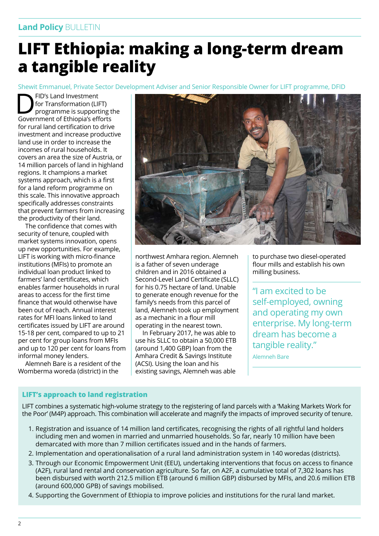## <span id="page-1-0"></span>**LIFT Ethiopia: making a long-term dream a tangible reality**

Shewit Emmanuel, Private Sector Development Adviser and Senior Responsible Owner for LIFT programme, DFID

FID's Land Investment<br>
for Transformation (LIFT)<br>
programme is supporting the<br>
Government of Ethiopia's efforts for Transformation (LIFT) Government of Ethiopia's efforts for rural land certification to drive investment and increase productive land use in order to increase the incomes of rural households. It covers an area the size of Austria, or 14 million parcels of land in highland regions. It champions a market systems approach, which is a first for a land reform programme on this scale. This innovative approach specifically addresses constraints that prevent farmers from increasing the productivity of their land.

The confidence that comes with security of tenure, coupled with market systems innovation, opens up new opportunities. For example, LIFT is working with micro-finance institutions (MFIs) to promote an individual loan product linked to farmers' land certificates, which enables farmer households in rural areas to access for the first time finance that would otherwise have been out of reach. Annual interest rates for MFI loans linked to land certificates issued by LIFT are around 15-18 per cent, compared to up to 21 per cent for group loans from MFIs and up to 120 per cent for loans from informal money lenders.

Alemneh Bare is a resident of the Womberma woreda (district) in the



northwest Amhara region. Alemneh is a father of seven underage children and in 2016 obtained a Second-Level Land Certificate (SLLC) for his 0.75 hectare of land. Unable to generate enough revenue for the family's needs from this parcel of land, Alemneh took up employment as a mechanic in a flour mill operating in the nearest town.

In February 2017, he was able to use his SLLC to obtain a 50,000 ETB (around 1,400 GBP) loan from the Amhara Credit & Savings Institute (ACSI). Using the loan and his existing savings, Alemneh was able

to purchase two diesel-operated flour mills and establish his own milling business.

"I am excited to be self-employed, owning and operating my own enterprise. My long-term dream has become a tangible reality." Alemneh Bare

#### **LIFT's approach to land registration**

LIFT combines a systematic high-volume strategy to the registering of land parcels with a 'Making Markets Work for the Poor' (M4P) approach. This combination will accelerate and magnify the impacts of improved security of tenure.

- 1. Registration and issuance of 14 million land certificates, recognising the rights of all rightful land holders including men and women in married and unmarried households. So far, nearly 10 million have been demarcated with more than 7 million certificates issued and in the hands of farmers.
- 2. Implementation and operationalisation of a rural land administration system in 140 woredas (districts).
- 3. Through our Economic Empowerment Unit (EEU), undertaking interventions that focus on access to finance (A2F), rural land rental and conservation agriculture. So far, on A2F, a cumulative total of 7,302 loans has been disbursed with worth 212.5 million ETB (around 6 million GBP) disbursed by MFIs, and 20.6 million ETB (around 600,000 GPB) of savings mobilised.
- 4. Supporting the Government of Ethiopia to improve policies and institutions for the rural land market.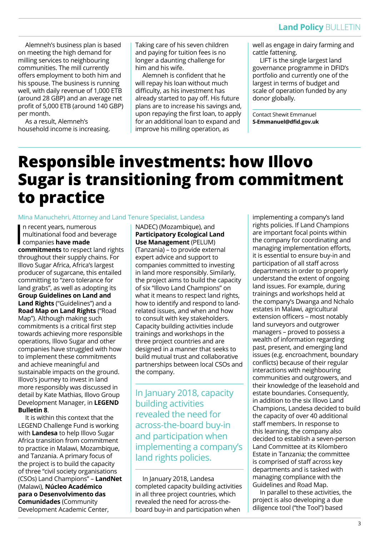Alemneh's business plan is based on meeting the high demand for milling services to neighbouring communities. The mill currently offers employment to both him and his spouse. The business is running well, with daily revenue of 1,000 ETB (around 28 GBP) and an average net profit of 5,000 ETB (around 140 GBP) per month.

As a result, Alemneh's household income is increasing. Taking care of his seven children and paying for tuition fees is no longer a daunting challenge for him and his wife.

Alemneh is confident that he will repay his loan without much difficulty, as his investment has already started to pay off. His future plans are to increase his savings and, upon repaying the first loan, to apply for an additional loan to expand and improve his milling operation, as

well as engage in dairy farming and cattle fattening.

LIFT is the single largest land governance programme in DFID's portfolio and currently one of the largest in terms of budget and scale of operation funded by any donor globally.

Contact Shewit Emmanuel **[S-Emmanuel@dfid.gov.uk](mailto:S-Emmanuel@dfid.gov.uk)**

## **Responsible investments: how Illovo Sugar is transitioning from commitment to practice**

#### Mina Manuchehri, Attorney and Land Tenure Specialist, Landesa

In recent years, numerou<br>
multinational food and b<br>
companies **have made**<br>
commitments to respect n recent years, numerous multinational food and beverage **[commitments](http://www.interlakengroup.org/annex/company-commitments)** to respect land rights throughout their supply chains. For Illovo Sugar Africa, Africa's largest producer of sugarcane, this entailed committing to "zero tolerance for land grabs", as well as adopting its **[Group Guidelines on Land and](https://www.illovosugarafrica.com/Group-Governance/Group-Guidelines-on-Land-and-Land-Rights)  [Land Rights](https://www.illovosugarafrica.com/Group-Governance/Group-Guidelines-on-Land-and-Land-Rights)** ("Guidelines") and a **[Road Map on Land Rights](https://www.illovosugarafrica.com/UserContent/documents/Announcements/Road-Map-on-Land-Rights-6Nov2015.pdf)** ("Road Map"). Although making such commitments is a critical first step towards achieving more responsible operations, Illovo Sugar and other companies have struggled with how to implement these commitments and achieve meaningful and sustainable impacts on the ground. Illovo's journey to invest in land more responsibly was discussed in detail by Kate Mathias, Illovo Group Development Manager, in **[LEGEND](https://www.odi.org/sites/odi.org.uk/files/resource-documents/11700.pdf)  [Bulletin 8](https://www.odi.org/sites/odi.org.uk/files/resource-documents/11700.pdf)**.

It is within this context that the LEGEND Challenge Fund is working with **[Landesa](https://www.landesa.org/)** to help Illovo Sugar Africa transition from commitment to practice in Malawi, Mozambique, and Tanzania. A primary focus of the project is to build the capacity of three "civil society organisations (CSOs) Land Champions" – **[LandNet](http://www.landnet.mw/)** (Malawi), **[Núcleo Académico](http://nadecmocambique.blogspot.com/)  [para o Desenvolvimento das](http://nadecmocambique.blogspot.com/)  [Comunidades](http://nadecmocambique.blogspot.com/)** (Community Development Academic Center,

NADEC) (Mozambique), and **[Participatory Ecological Land](http://pelumtanzania.org/)  [Use Management](http://pelumtanzania.org/)** (PELUM) (Tanzania) – to provide external expert advice and support to companies committed to investing in land more responsibly. Similarly, the project aims to build the capacity of six "Illovo Land Champions" on what it means to respect land rights, how to identify and respond to landrelated issues, and when and how to consult with key stakeholders. Capacity building activities include trainings and workshops in the three project countries and are designed in a manner that seeks to build mutual trust and collaborative partnerships between local CSOs and the company.

In January 2018, capacity building activities revealed the need for across-the-board buy-in and participation when implementing a company's land rights policies.

In January 2018, Landesa completed capacity building activities in all three project countries, which revealed the need for across-theboard buy-in and participation when

implementing a company's land rights policies. If Land Champions are important focal points within the company for coordinating and managing implementation efforts, it is essential to ensure buy-in and participation of all staff across departments in order to properly understand the extent of ongoing land issues. For example, during trainings and workshops held at the company's Dwanga and Nchalo estates in Malawi, agricultural extension officers – most notably land surveyors and outgrower managers – proved to possess a wealth of information regarding past, present, and emerging land issues (e.g. encroachment, boundary conflicts) because of their regular interactions with neighbouring communities and outgrowers, and their knowledge of the leasehold and estate boundaries. Consequently, in addition to the six Illovo Land Champions, Landesa decided to build the capacity of over 40 additional staff members. In response to this learning, the company also decided to establish a seven-person Land Committee at its Kilombero Estate in Tanzania; the committee is comprised of staff across key departments and is tasked with managing compliance with the Guidelines and Road Map.

In parallel to these activities, the project is also developing a due diligence tool ("the Tool") based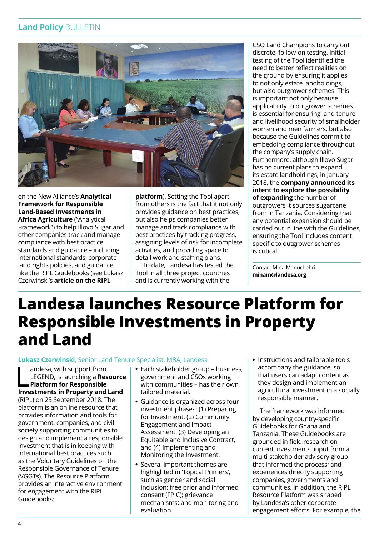#### **Land Policy** BULLETIN



on the New Alliance's **[Analytical](https://www.growafrica.com/sites/default/files/Analytical-framework-for-land-based-investments-in-African-agriculture_0.pdf)  [Framework for Responsible](https://www.growafrica.com/sites/default/files/Analytical-framework-for-land-based-investments-in-African-agriculture_0.pdf)  [Land-Based Investments in](https://www.growafrica.com/sites/default/files/Analytical-framework-for-land-based-investments-in-African-agriculture_0.pdf)  [Africa Agriculture](https://www.growafrica.com/sites/default/files/Analytical-framework-for-land-based-investments-in-African-agriculture_0.pdf)** ("Analytical

Framework") to help Illovo Sugar and other companies track and manage compliance with best practice standards and guidance – including international standards, corporate land rights policies, and guidance like the RIPL Guidebooks (see Lukasz Czerwinski's **[article on the RIPL](#page-3-0)** 

**[platform](#page-3-0)**). Setting the Tool apart from others is the fact that it not only provides guidance on best practices, but also helps companies better manage and track compliance with best practices by tracking progress, assigning levels of risk for incomplete activities, and providing space to detail work and staffing plans.

To date, Landesa has tested the Tool in all three project countries and is currently working with the

CSO Land Champions to carry out discrete, follow-on testing. Initial testing of the Tool identified the need to better reflect realities on the ground by ensuring it applies to not only estate landholdings, but also outgrower schemes. This is important not only because applicability to outgrower schemes is essential for ensuring land tenure and livelihood security of smallholder women and men farmers, but also because the Guidelines commit to embedding compliance throughout the company's supply chain. Furthermore, although Illovo Sugar has no current plans to expand its estate landholdings, in January 2018, the **[company announced its](http://www.thecitizen.co.tz/News/Kilombero-Sugarcane-Growers-urged-to-increase-production/1840340-4276012-ccy3saz/index.html)  [intent to explore the possibility](http://www.thecitizen.co.tz/News/Kilombero-Sugarcane-Growers-urged-to-increase-production/1840340-4276012-ccy3saz/index.html)  [of expanding](http://www.thecitizen.co.tz/News/Kilombero-Sugarcane-Growers-urged-to-increase-production/1840340-4276012-ccy3saz/index.html)** the number of outgrowers it sources sugarcane from in Tanzania. Considering that any potential expansion should be carried out in line with the Guidelines, ensuring the Tool includes content specific to outgrower schemes is critical.

Contact Mina Manuchehri **[minam@landesa.org](mailto:minam@landesa.org)**

## <span id="page-3-0"></span>**Landesa launches Resource Platform for Responsible Investments in Property and Land**

#### **[Lukasz Czerwinski](https://www.landesa.org/who-we-are/lukasz-czerwinski/)**, Senior Land Tenure Specialist, MBA, Landesa

andesa, with support from<br>LEGEND, is launching a **Resource<br>Platform for Responsible<br>[Investments in Property and Land](https://ripl.landesa.org/)** andesa, with support from LEGEND, is launching a **[Resource](https://ripl.landesa.org/) [Platform for Responsible](https://ripl.landesa.org/)**  (RIPL) on 25 September 2018. The platform is an online resource that provides information and tools for government, companies, and civil society supporting communities to design and implement a responsible investment that is in keeping with international best practices such as the Voluntary Guidelines on the Responsible Governance of Tenure (VGGTs). The Resource Platform provides an interactive environment for engagement with the RIPL Guidebooks:

- **•** Each stakeholder group business, government and CSOs working with communities – has their own tailored material.
- **•** Guidance is organized across four investment phases: (1) Preparing for Investment, (2) Community Engagement and Impact Assessment, (3) Developing an Equitable and Inclusive Contract, and (4) Implementing and Monitoring the Investment.
- **•** Several important themes are highlighted in 'Topical Primers', such as gender and social inclusion; free prior and informed consent (FPIC); grievance mechanisms; and monitoring and evaluation.

**•** Instructions and tailorable tools accompany the guidance, so that users can adapt content as they design and implement an agricultural investment in a socially responsible manner.

The framework was informed by developing country-specific Guidebooks for Ghana and Tanzania. These Guidebooks are grounded in field research on current investments; input from a multi-stakeholder advisory group that informed the process; and experiences directly supporting companies, governments and communities. In addition, the RIPL Resource Platform was shaped by Landesa's other corporate engagement efforts. For example, the